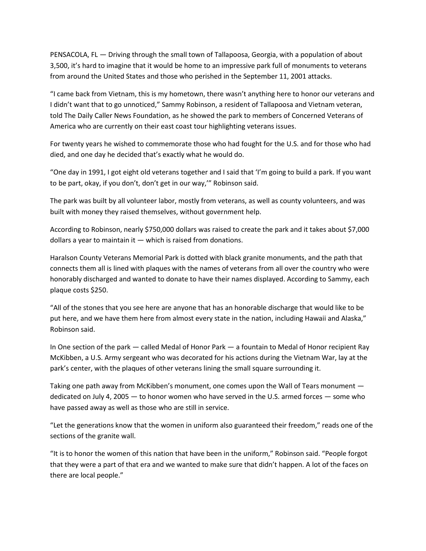PENSACOLA, FL — Driving through the small town of Tallapoosa, Georgia, with a population of about 3,500, it's hard to imagine that it would be home to an impressive park full of monuments to veterans from around the United States and those who perished in the September 11, 2001 attacks.

"I came back from Vietnam, this is my hometown, there wasn't anything here to honor our veterans and I didn't want that to go unnoticed," Sammy Robinson, a resident of Tallapoosa and Vietnam veteran, told The Daily Caller News Foundation, as he showed the park to members of Concerned Veterans of America who are currently on their east coast tour highlighting veterans issues.

For twenty years he wished to commemorate those who had fought for the U.S. and for those who had died, and one day he decided that's exactly what he would do.

"One day in 1991, I got eight old veterans together and I said that 'I'm going to build a park. If you want to be part, okay, if you don't, don't get in our way,'" Robinson said.

The park was built by all volunteer labor, mostly from veterans, as well as county volunteers, and was built with money they raised themselves, without government help.

According to Robinson, nearly \$750,000 dollars was raised to create the park and it takes about \$7,000 dollars a year to maintain it — which is raised from donations.

Haralson County Veterans Memorial Park is dotted with black granite monuments, and the path that connects them all is lined with plaques with the names of veterans from all over the country who were honorably discharged and wanted to donate to have their names displayed. According to Sammy, each plaque costs \$250.

"All of the stones that you see here are anyone that has an honorable discharge that would like to be put here, and we have them here from almost every state in the nation, including Hawaii and Alaska," Robinson said.

In One section of the park — called Medal of Honor Park — a fountain to Medal of Honor recipient Ray McKibben, a U.S. Army sergeant who was decorated for his actions during the Vietnam War, lay at the park's center, with the plaques of other veterans lining the small square surrounding it.

Taking one path away from McKibben's monument, one comes upon the Wall of Tears monument dedicated on July 4, 2005 — to honor women who have served in the U.S. armed forces — some who have passed away as well as those who are still in service.

"Let the generations know that the women in uniform also guaranteed their freedom," reads one of the sections of the granite wall.

"It is to honor the women of this nation that have been in the uniform," Robinson said. "People forgot that they were a part of that era and we wanted to make sure that didn't happen. A lot of the faces on there are local people."